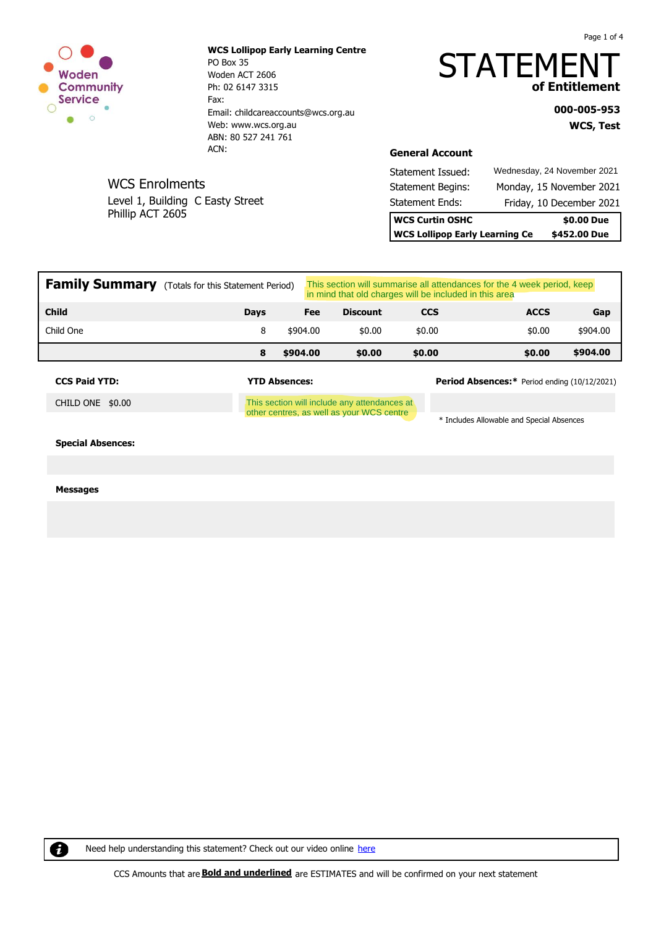

WCS Enrolments

Phillip ACT 2605

Level 1, Building C Easty Street

**WCS Lollipop Early Learning Centre** PO Box 35 Woden ACT 2606 Ph: 02 6147 3315 Fax: Email: childcareaccounts@wcs.org.au Web: www.wcs.org.au ABN: 80 527 241 761 ACN:

# **STATEMEN of Entitlement**

**WCS, Test 000-005-953**

Page 1 of 4

**General Account**

| <b>WCS Lollipop Early Learning Ce</b> | \$452.00 Due |                             |
|---------------------------------------|--------------|-----------------------------|
| <b>WCS Curtin OSHC</b>                |              | \$0.00 Due                  |
| <b>Statement Ends:</b>                |              | Friday, 10 December 2021    |
| <b>Statement Begins:</b>              |              | Monday, 15 November 2021    |
| Statement Issued:                     |              | Wednesday, 24 November 2021 |

| <b>Family Summary</b> (Totals for this Statement Period) |             |          | This section will summarise all attendances for the 4 week period, keep<br>in mind that old charges will be included in this area |            |             |          |  |
|----------------------------------------------------------|-------------|----------|-----------------------------------------------------------------------------------------------------------------------------------|------------|-------------|----------|--|
| <b>Child</b>                                             | <b>Davs</b> | Fee      | <b>Discount</b>                                                                                                                   | <b>CCS</b> | <b>ACCS</b> | Gap      |  |
| Child One                                                |             | \$904.00 | \$0.00                                                                                                                            | \$0.00     | \$0.00      | \$904.00 |  |
|                                                          | 8           | \$904.00 | \$0.00                                                                                                                            | \$0.00     | \$0.00      | \$904.00 |  |

CHILD ONE \$0.00

This section will include any attendances at other centres, as well as your WCS centre

**CCS Paid YTD: YTD Absences: Period Absences:\*** Period ending (10/12/2021)

\* Includes Allowable and Special Absences

**Special Absences:**

#### **Messages**

0

Need help understanding this statement? Check out our video online [here](https://qikkids.com.au/my-family-lounge-home-blocks/understanding-childcare-statements)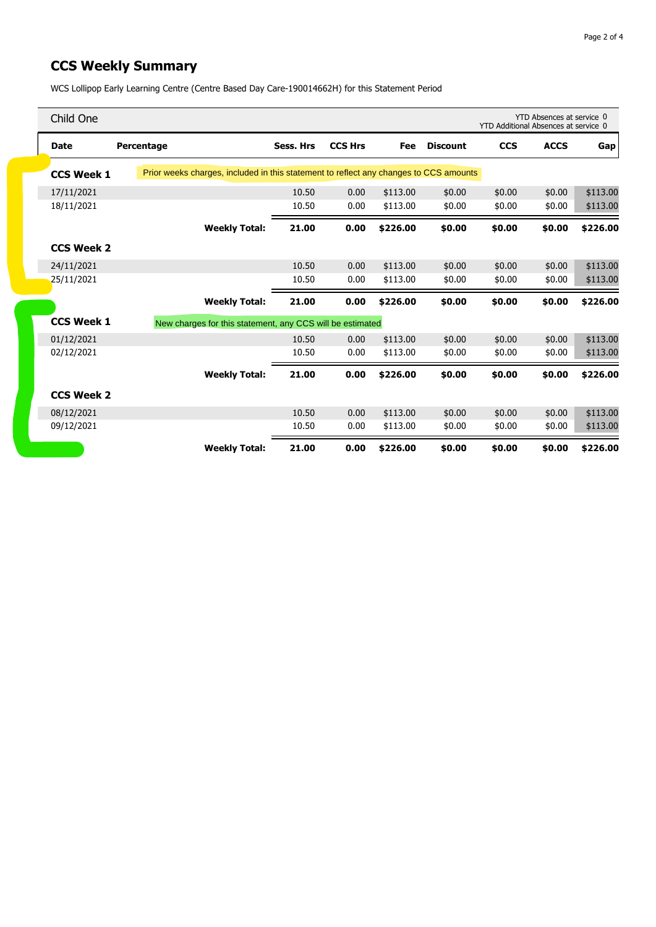### **CCS Weekly Summary**

WCS Lollipop Early Learning Centre (Centre Based Day Care-190014662H) for this Statement Period

| Child One         |                                                                                       |                      |           |                |          |                 |            | YTD Absences at service 0<br>YTD Additional Absences at service 0 |          |
|-------------------|---------------------------------------------------------------------------------------|----------------------|-----------|----------------|----------|-----------------|------------|-------------------------------------------------------------------|----------|
| <b>Date</b>       | Percentage                                                                            |                      | Sess. Hrs | <b>CCS Hrs</b> | Fee      | <b>Discount</b> | <b>CCS</b> | <b>ACCS</b>                                                       | Gap      |
| <b>CCS Week 1</b> | Prior weeks charges, included in this statement to reflect any changes to CCS amounts |                      |           |                |          |                 |            |                                                                   |          |
| 17/11/2021        |                                                                                       |                      | 10.50     | 0.00           | \$113.00 | \$0.00          | \$0.00     | \$0.00                                                            | \$113.00 |
| 18/11/2021        |                                                                                       |                      | 10.50     | 0.00           | \$113.00 | \$0.00          | \$0.00     | \$0.00                                                            | \$113.00 |
|                   |                                                                                       | <b>Weekly Total:</b> | 21.00     | 0.00           | \$226.00 | \$0.00          | \$0.00     | \$0.00                                                            | \$226.00 |
| <b>CCS Week 2</b> |                                                                                       |                      |           |                |          |                 |            |                                                                   |          |
| 24/11/2021        |                                                                                       |                      | 10.50     | 0.00           | \$113.00 | \$0.00          | \$0.00     | \$0.00                                                            | \$113.00 |
| 25/11/2021        |                                                                                       |                      | 10.50     | 0.00           | \$113.00 | \$0.00          | \$0.00     | \$0.00                                                            | \$113.00 |
|                   |                                                                                       | <b>Weekly Total:</b> | 21.00     | 0.00           | \$226.00 | \$0.00          | \$0.00     | \$0.00                                                            | \$226.00 |
| <b>CCS Week 1</b> | New charges for this statement, any CCS will be estimated                             |                      |           |                |          |                 |            |                                                                   |          |
| 01/12/2021        |                                                                                       |                      | 10.50     | 0.00           | \$113.00 | \$0.00          | \$0.00     | \$0.00                                                            | \$113.00 |
| 02/12/2021        |                                                                                       |                      | 10.50     | 0.00           | \$113.00 | \$0.00          | \$0.00     | \$0.00                                                            | \$113.00 |
|                   |                                                                                       | <b>Weekly Total:</b> | 21.00     | 0.00           | \$226.00 | \$0.00          | \$0.00     | \$0.00                                                            | \$226.00 |
| <b>CCS Week 2</b> |                                                                                       |                      |           |                |          |                 |            |                                                                   |          |
| 08/12/2021        |                                                                                       |                      | 10.50     | 0.00           | \$113.00 | \$0.00          | \$0.00     | \$0.00                                                            | \$113.00 |
| 09/12/2021        |                                                                                       |                      | 10.50     | 0.00           | \$113.00 | \$0.00          | \$0.00     | \$0.00                                                            | \$113.00 |
|                   |                                                                                       | <b>Weekly Total:</b> | 21.00     | 0.00           | \$226.00 | \$0.00          | \$0.00     | \$0.00                                                            | \$226.00 |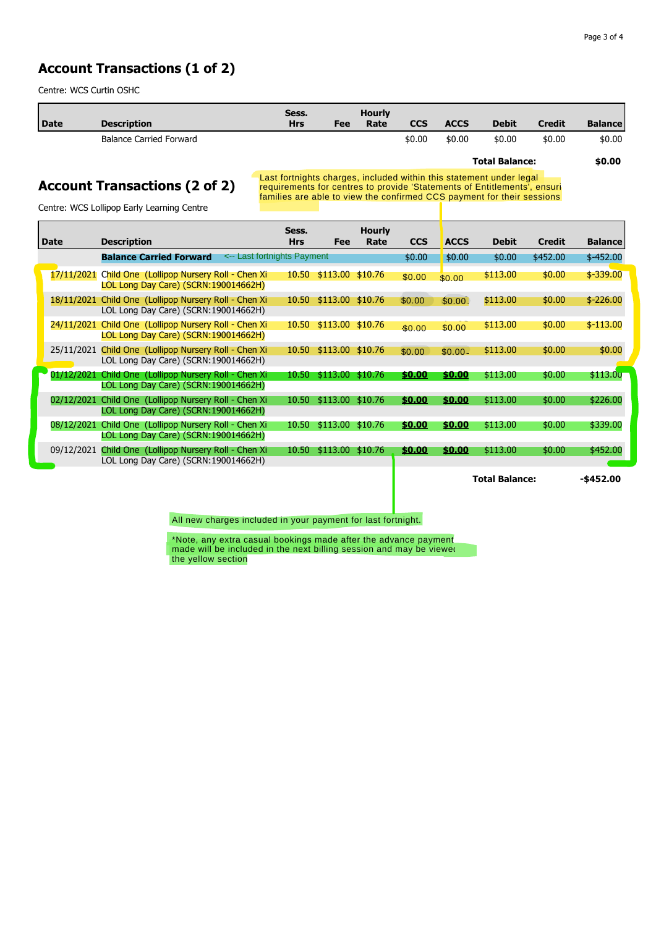#### **Account Transactions (1 of 2)**

Centre: WCS Curtin OSHC

| Date | <b>Description</b>             | Sess.<br><b>Hrs</b> | Fee | <b>Hourly</b><br>Rate | <b>CCS</b> | <b>ACCS</b> | <b>Debit</b>          | <b>Credit</b> | <b>Balance</b> |
|------|--------------------------------|---------------------|-----|-----------------------|------------|-------------|-----------------------|---------------|----------------|
|      | <b>Balance Carried Forward</b> |                     |     |                       | \$0.00     | \$0.00      | \$0.00                | \$0.00        | \$0.00         |
|      |                                |                     |     |                       |            |             | <b>Total Balance:</b> |               | \$0.00         |

#### **Account Transactions (2 of 2)**

Last fortnights charges, included within this statement under legal requirements for centres to provide 'Statements of Entitlements', ensuri families are able to view the confirmed CCS payment for their sessions

Centre: WCS Lollipop Early Learning Centre

| <b>Date</b> | <b>Description</b>                                                                  | Sess.<br><b>Hrs</b> | Fee                    | <b>Hourly</b><br>Rate | <b>CCS</b> | <b>ACCS</b> | <b>Debit</b> | Credit   | <b>Balance</b> |
|-------------|-------------------------------------------------------------------------------------|---------------------|------------------------|-----------------------|------------|-------------|--------------|----------|----------------|
|             | <-- Last fortnights Payment<br><b>Balance Carried Forward</b>                       |                     |                        |                       | \$0.00     | \$0.00      | \$0.00       | \$452.00 | $$-452.00$     |
| 17/11/2021  | Child One (Lollipop Nursery Roll - Chen Xi<br>LOL Long Day Care) (SCRN: 190014662H) | 10.50               | $$113.00$ \$10.76      |                       | \$0.00     | \$0.00      | \$113.00     | \$0.00   | $$ -339.00$    |
| 18/11/2021  | Child One (Lollipop Nursery Roll - Chen Xi<br>LOL Long Day Care) (SCRN: 190014662H) |                     | 10.50 \$113.00 \$10.76 |                       | \$0.00     | \$0.00      | \$113.00     | \$0.00   | $$ -226.00$    |
| 24/11/2021  | Child One (Lollipop Nursery Roll - Chen Xi<br>LOL Long Day Care) (SCRN:190014662H)  | 10.50               | $$113.00$ $$10.76$     |                       | \$0.00     | \$0.00      | \$113.00     | \$0.00   | $$-113.00$     |
| 25/11/2021  | Child One (Lollipop Nursery Roll - Chen Xi<br>LOL Long Day Care) (SCRN: 190014662H) |                     | 10.50 \$113.00 \$10.76 |                       | \$0.00     | $$0.00-$    | \$113.00     | \$0.00   | \$0.00         |
| 01/12/2021  | Child One (Lollipop Nursery Roll - Chen Xi<br>LOL Long Day Care) (SCRN: 190014662H) | 10.50               | \$113.00               | \$10.76               | \$0.00     | \$0.00      | \$113.00     | \$0.00   | \$113.00       |
| 02/12/2021  | Child One (Lollipop Nursery Roll - Chen Xi<br>LOL Long Day Care) (SCRN: 190014662H) | 10.50               | $$113.00$ $$10.76$     |                       | \$0.00     | \$0.00      | \$113.00     | \$0.00   | \$226.00       |
| 08/12/2021  | Child One (Lollipop Nursery Roll - Chen Xi<br>LOL Long Day Care) (SCRN:190014662H)  | 10.50               | \$113.00               | \$10.76               | \$0.00     | \$0.00      | \$113.00     | \$0.00   | \$339.00       |
| 09/12/2021  | Child One (Lollipop Nursery Roll - Chen Xi<br>LOL Long Day Care) (SCRN: 190014662H) | 10.50               | \$113.00 \$10.76       |                       | \$0.00     | \$0.00      | \$113.00     | \$0.00   | \$452.00       |

**Total Balance: -\$452.00**

All new charges included in your payment for last fortnight.

 $^{\star}$ Note, any extra casual bookings made after the advance payment  $^$ made will be included in the next billing session and may be viewed  $\,$ the yellow section